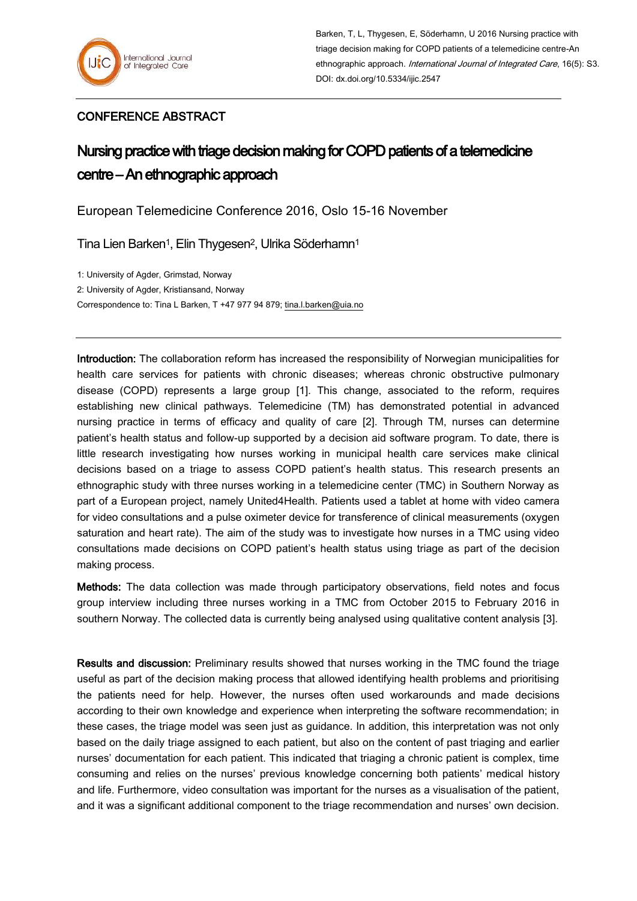## CONFERENCE ABSTRACT

## Nursing practice with triage decision making for COPD patients of a telemedicine centre – An ethnographic approach

European Telemedicine Conference 2016, Oslo 15-16 November

Tina Lien Barken<sup>1</sup>, Elin Thygesen<sup>2</sup>, Ulrika Söderhamn<sup>1</sup>

1: University of Agder, Grimstad, Norway 2: University of Agder, Kristiansand, Norway Correspondence to: Tina L Barken, T +47 977 94 879; [tina.l.barken@uia.no](mailto:tina.l.barken@uia.no)

Introduction: The collaboration reform has increased the responsibility of Norwegian municipalities for health care services for patients with chronic diseases; whereas chronic obstructive pulmonary disease (COPD) represents a large group [1]. This change, associated to the reform, requires establishing new clinical pathways. Telemedicine (TM) has demonstrated potential in advanced nursing practice in terms of efficacy and quality of care [2]. Through TM, nurses can determine patient's health status and follow-up supported by a decision aid software program. To date, there is little research investigating how nurses working in municipal health care services make clinical decisions based on a triage to assess COPD patient's health status. This research presents an ethnographic study with three nurses working in a telemedicine center (TMC) in Southern Norway as part of a European project, namely United4Health. Patients used a tablet at home with video camera for video consultations and a pulse oximeter device for transference of clinical measurements (oxygen saturation and heart rate). The aim of the study was to investigate how nurses in a TMC using video consultations made decisions on COPD patient's health status using triage as part of the decision making process.

Methods: The data collection was made through participatory observations, field notes and focus group interview including three nurses working in a TMC from October 2015 to February 2016 in southern Norway. The collected data is currently being analysed using qualitative content analysis [3].

Results and discussion: Preliminary results showed that nurses working in the TMC found the triage useful as part of the decision making process that allowed identifying health problems and prioritising the patients need for help. However, the nurses often used workarounds and made decisions according to their own knowledge and experience when interpreting the software recommendation; in these cases, the triage model was seen just as guidance. In addition, this interpretation was not only based on the daily triage assigned to each patient, but also on the content of past triaging and earlier nurses' documentation for each patient. This indicated that triaging a chronic patient is complex, time consuming and relies on the nurses' previous knowledge concerning both patients' medical history and life. Furthermore, video consultation was important for the nurses as a visualisation of the patient, and it was a significant additional component to the triage recommendation and nurses' own decision.